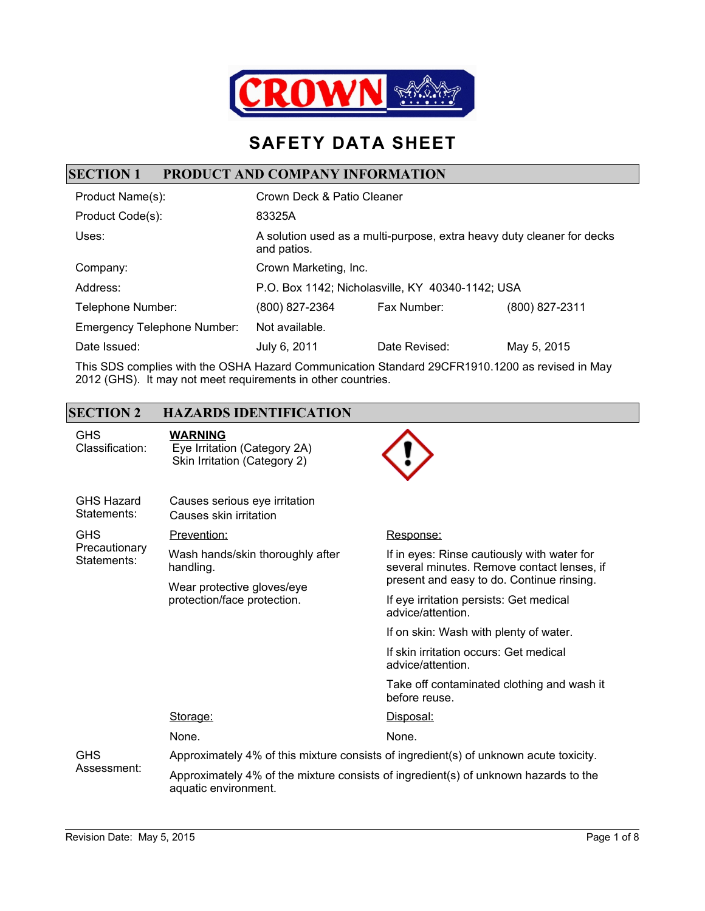

## **SAFETY DATA SHEET**

#### **SECTION 1 PRODUCT AND COMPANY INFORMATION**

| Product Name(s):                   | Crown Deck & Patio Cleaner                                                            |               |                |
|------------------------------------|---------------------------------------------------------------------------------------|---------------|----------------|
| Product Code(s):                   | 83325A                                                                                |               |                |
| Uses:                              | A solution used as a multi-purpose, extra heavy duty cleaner for decks<br>and patios. |               |                |
| Company:                           | Crown Marketing, Inc.                                                                 |               |                |
| Address:                           | P.O. Box 1142; Nicholasville, KY 40340-1142; USA                                      |               |                |
| Telephone Number:                  | (800) 827-2364                                                                        | Fax Number:   | (800) 827-2311 |
| <b>Emergency Telephone Number:</b> | Not available.                                                                        |               |                |
| Date Issued:                       | July 6, 2011                                                                          | Date Revised: | May 5, 2015    |
|                                    |                                                                                       |               |                |

This SDS complies with the OSHA Hazard Communication Standard 29CFR1910.1200 as revised in May 2012 (GHS). It may not meet requirements in other countries.

### **SECTION 2 HAZARDS IDENTIFICATION**

| <b>GHS</b><br>Classification:    | <b>WARNING</b><br>Eye Irritation (Category 2A)<br>Skin Irritation (Category 2)                              |                                                                                           |  |
|----------------------------------|-------------------------------------------------------------------------------------------------------------|-------------------------------------------------------------------------------------------|--|
| <b>GHS Hazard</b><br>Statements: | Causes serious eye irritation<br>Causes skin irritation                                                     |                                                                                           |  |
| <b>GHS</b>                       | Prevention:                                                                                                 | Response:                                                                                 |  |
| Precautionary<br>Statements:     | Wash hands/skin thoroughly after<br>handling.                                                               | If in eyes: Rinse cautiously with water for<br>several minutes. Remove contact lenses, if |  |
|                                  | Wear protective gloves/eye<br>protection/face protection.                                                   | present and easy to do. Continue rinsing.                                                 |  |
|                                  |                                                                                                             | If eye irritation persists: Get medical<br>advice/attention.                              |  |
|                                  |                                                                                                             | If on skin: Wash with plenty of water.                                                    |  |
|                                  |                                                                                                             | If skin irritation occurs: Get medical<br>advice/attention.                               |  |
|                                  |                                                                                                             | Take off contaminated clothing and wash it<br>before reuse.                               |  |
|                                  | Storage:                                                                                                    | Disposal:                                                                                 |  |
|                                  | None.                                                                                                       | None.                                                                                     |  |
| <b>GHS</b><br>Assessment:        | Approximately 4% of this mixture consists of ingredient(s) of unknown acute toxicity.                       |                                                                                           |  |
|                                  | Approximately 4% of the mixture consists of ingredient(s) of unknown hazards to the<br>aquatic environment. |                                                                                           |  |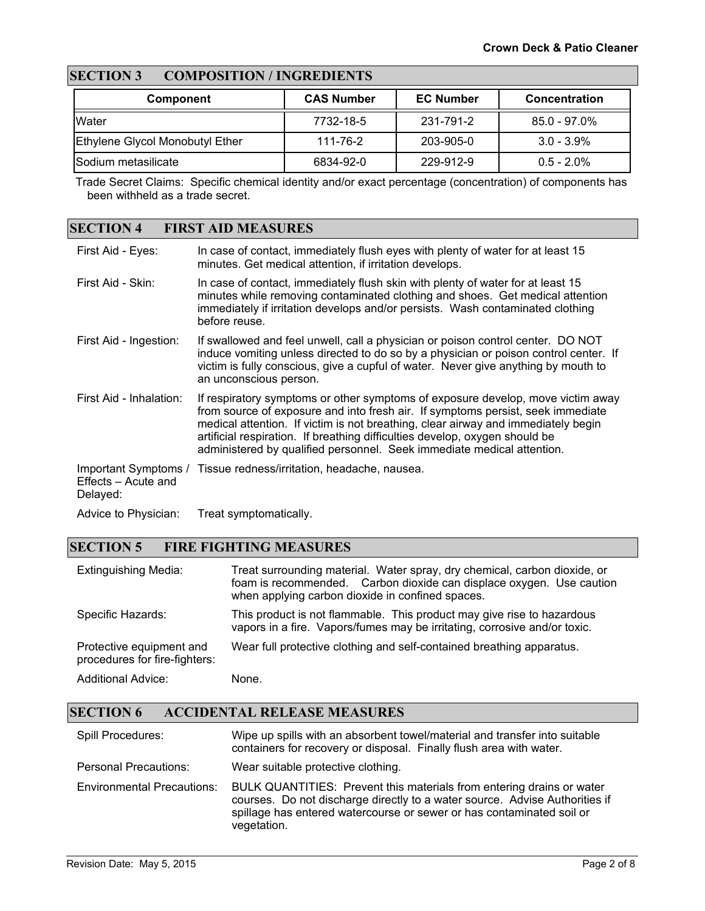### **SECTION 3 COMPOSITION / INGREDIENTS**

| <b>Component</b>                | <b>CAS Number</b> | <b>EC Number</b> | <b>Concentration</b> |
|---------------------------------|-------------------|------------------|----------------------|
| <b>IWater</b>                   | 7732-18-5         | 231-791-2        | $85.0 - 97.0\%$      |
| Ethylene Glycol Monobutyl Ether | 111-76-2          | 203-905-0        | $3.0 - 3.9\%$        |
| <b>Sodium metasilicate</b>      | 6834-92-0         | 229-912-9        | $0.5 - 2.0\%$        |

Trade Secret Claims: Specific chemical identity and/or exact percentage (concentration) of components has been withheld as a trade secret.

#### **SECTION 4 FIRST AID MEASURES**

| First Aid - Eyes:               | In case of contact, immediately flush eyes with plenty of water for at least 15<br>minutes. Get medical attention, if irritation develops.                                                                                                                                                                                                                                                                       |
|---------------------------------|------------------------------------------------------------------------------------------------------------------------------------------------------------------------------------------------------------------------------------------------------------------------------------------------------------------------------------------------------------------------------------------------------------------|
| First Aid - Skin:               | In case of contact, immediately flush skin with plenty of water for at least 15<br>minutes while removing contaminated clothing and shoes. Get medical attention<br>immediately if irritation develops and/or persists. Wash contaminated clothing<br>before reuse.                                                                                                                                              |
| First Aid - Ingestion:          | If swallowed and feel unwell, call a physician or poison control center. DO NOT<br>induce vomiting unless directed to do so by a physician or poison control center. If<br>victim is fully conscious, give a cupful of water. Never give anything by mouth to<br>an unconscious person.                                                                                                                          |
| First Aid - Inhalation:         | If respiratory symptoms or other symptoms of exposure develop, move victim away<br>from source of exposure and into fresh air. If symptoms persist, seek immediate<br>medical attention. If victim is not breathing, clear airway and immediately begin<br>artificial respiration. If breathing difficulties develop, oxygen should be<br>administered by qualified personnel. Seek immediate medical attention. |
| Effects - Acute and<br>Delayed: | Important Symptoms / Tissue redness/irritation, headache, nausea.                                                                                                                                                                                                                                                                                                                                                |
| Advice to Physician:            | Treat symptomatically.                                                                                                                                                                                                                                                                                                                                                                                           |

#### **SECTION 5 FIRE FIGHTING MEASURES**

| <b>Extinguishing Media:</b>                               | Treat surrounding material. Water spray, dry chemical, carbon dioxide, or<br>foam is recommended. Carbon dioxide can displace oxygen. Use caution<br>when applying carbon dioxide in confined spaces. |
|-----------------------------------------------------------|-------------------------------------------------------------------------------------------------------------------------------------------------------------------------------------------------------|
| Specific Hazards:                                         | This product is not flammable. This product may give rise to hazardous<br>vapors in a fire. Vapors/fumes may be irritating, corrosive and/or toxic.                                                   |
| Protective equipment and<br>procedures for fire-fighters: | Wear full protective clothing and self-contained breathing apparatus.                                                                                                                                 |
| <b>Additional Advice:</b>                                 | None.                                                                                                                                                                                                 |

### **SECTION 6 ACCIDENTAL RELEASE MEASURES**

| <b>Spill Procedures:</b>          | Wipe up spills with an absorbent towel/material and transfer into suitable<br>containers for recovery or disposal. Finally flush area with water.                                                                                            |
|-----------------------------------|----------------------------------------------------------------------------------------------------------------------------------------------------------------------------------------------------------------------------------------------|
| Personal Precautions:             | Wear suitable protective clothing.                                                                                                                                                                                                           |
| <b>Environmental Precautions:</b> | BULK QUANTITIES: Prevent this materials from entering drains or water<br>courses. Do not discharge directly to a water source. Advise Authorities if<br>spillage has entered watercourse or sewer or has contaminated soil or<br>vegetation. |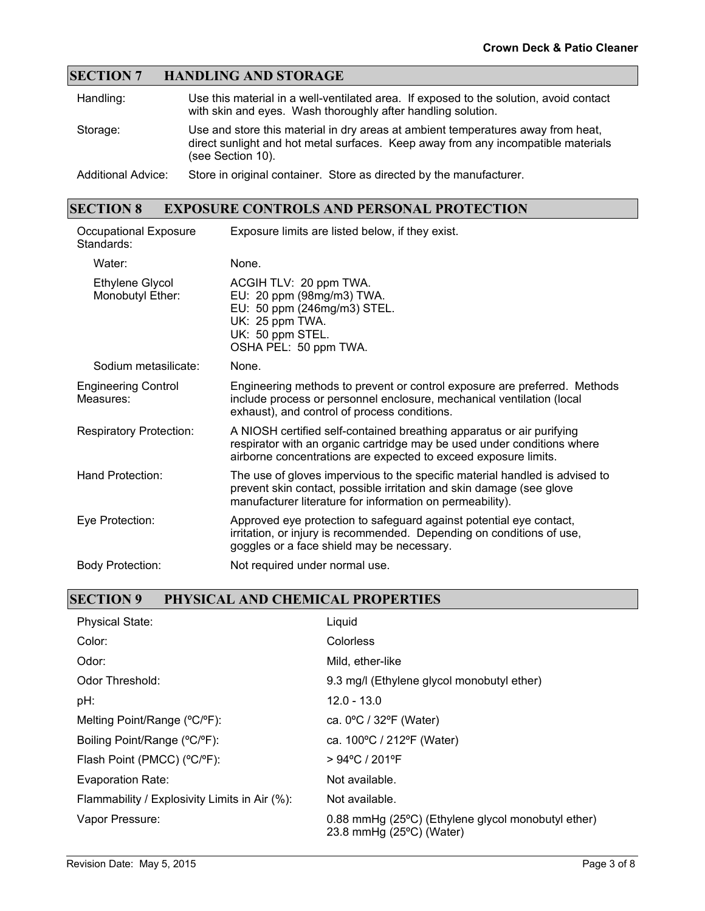#### **SECTION 7 HANDLING AND STORAGE**

| Handling:                 | Use this material in a well-ventilated area. If exposed to the solution, avoid contact<br>with skin and eyes. Wash thoroughly after handling solution.                                     |
|---------------------------|--------------------------------------------------------------------------------------------------------------------------------------------------------------------------------------------|
| Storage:                  | Use and store this material in dry areas at ambient temperatures away from heat,<br>direct sunlight and hot metal surfaces. Keep away from any incompatible materials<br>(see Section 10). |
| <b>Additional Advice:</b> | Store in original container. Store as directed by the manufacturer.                                                                                                                        |

## **SECTION 8 EXPOSURE CONTROLS AND PERSONAL PROTECTION**

| Occupational Exposure<br>Standards:     | Exposure limits are listed below, if they exist.                                                                                                                                                                    |
|-----------------------------------------|---------------------------------------------------------------------------------------------------------------------------------------------------------------------------------------------------------------------|
| Water:                                  | None.                                                                                                                                                                                                               |
| Ethylene Glycol<br>Monobutyl Ether:     | ACGIH TLV: 20 ppm TWA.<br>EU: 20 ppm (98mg/m3) TWA.<br>EU: 50 ppm (246mg/m3) STEL.<br>UK: 25 ppm TWA.<br>UK: 50 ppm STEL.<br>OSHA PEL: 50 ppm TWA.                                                                  |
| Sodium metasilicate:                    | None.                                                                                                                                                                                                               |
| <b>Engineering Control</b><br>Measures: | Engineering methods to prevent or control exposure are preferred. Methods<br>include process or personnel enclosure, mechanical ventilation (local<br>exhaust), and control of process conditions.                  |
| <b>Respiratory Protection:</b>          | A NIOSH certified self-contained breathing apparatus or air purifying<br>respirator with an organic cartridge may be used under conditions where<br>airborne concentrations are expected to exceed exposure limits. |
| Hand Protection:                        | The use of gloves impervious to the specific material handled is advised to<br>prevent skin contact, possible irritation and skin damage (see glove<br>manufacturer literature for information on permeability).    |
| Eye Protection:                         | Approved eye protection to safeguard against potential eye contact,<br>irritation, or injury is recommended. Depending on conditions of use,<br>goggles or a face shield may be necessary.                          |
| <b>Body Protection:</b>                 | Not required under normal use.                                                                                                                                                                                      |

#### **SECTION 9 PHYSICAL AND CHEMICAL PROPERTIES**

| <b>Physical State:</b>                        | Liquid                                                                                  |
|-----------------------------------------------|-----------------------------------------------------------------------------------------|
| Color:                                        | Colorless                                                                               |
| Odor:                                         | Mild, ether-like                                                                        |
| Odor Threshold:                               | 9.3 mg/l (Ethylene glycol monobutyl ether)                                              |
| pH:                                           | $12.0 - 13.0$                                                                           |
| Melting Point/Range (°C/°F):                  | ca. $0^{\circ}$ C / 32 $^{\circ}$ F (Water)                                             |
| Boiling Point/Range (°C/°F):                  | ca. 100°C / 212°F (Water)                                                               |
| Flash Point (PMCC) (°C/°F):                   | > 94°C / 201°F                                                                          |
| Evaporation Rate:                             | Not available.                                                                          |
| Flammability / Explosivity Limits in Air (%): | Not available.                                                                          |
| Vapor Pressure:                               | 0.88 mmHg (25°C) (Ethylene glycol monobutyl ether)<br>23.8 mmHg $(25^{\circ}C)$ (Water) |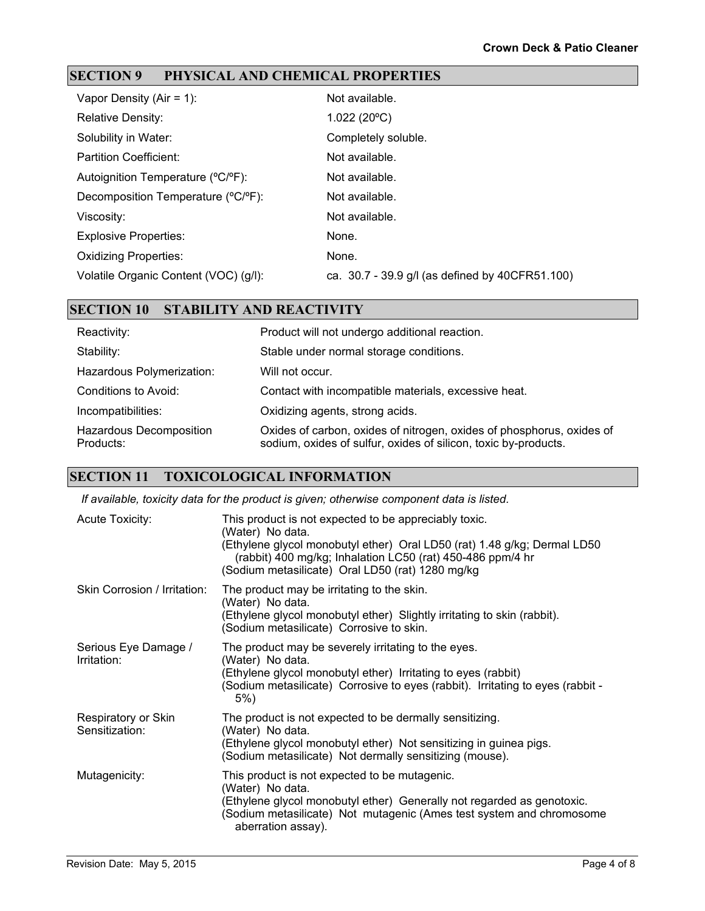### **SECTION 9 PHYSICAL AND CHEMICAL PROPERTIES**

| Vapor Density (Air = $1$ ):           | Not available.                                  |
|---------------------------------------|-------------------------------------------------|
| <b>Relative Density:</b>              | 1.022(20°C)                                     |
| Solubility in Water:                  | Completely soluble.                             |
| <b>Partition Coefficient:</b>         | Not available.                                  |
| Autoignition Temperature (°C/°F):     | Not available.                                  |
| Decomposition Temperature (°C/°F):    | Not available.                                  |
| Viscosity:                            | Not available.                                  |
| <b>Explosive Properties:</b>          | None.                                           |
| <b>Oxidizing Properties:</b>          | None.                                           |
| Volatile Organic Content (VOC) (g/l): | ca. 30.7 - 39.9 g/l (as defined by 40CFR51.100) |

#### **SECTION 10 STABILITY AND REACTIVITY**

| Reactivity:                          | Product will not undergo additional reaction.                                                                                            |
|--------------------------------------|------------------------------------------------------------------------------------------------------------------------------------------|
| Stability:                           | Stable under normal storage conditions.                                                                                                  |
| Hazardous Polymerization:            | Will not occur.                                                                                                                          |
| Conditions to Avoid:                 | Contact with incompatible materials, excessive heat.                                                                                     |
| Incompatibilities:                   | Oxidizing agents, strong acids.                                                                                                          |
| Hazardous Decomposition<br>Products: | Oxides of carbon, oxides of nitrogen, oxides of phosphorus, oxides of<br>sodium, oxides of sulfur, oxides of silicon, toxic by-products. |

#### **SECTION 11 TOXICOLOGICAL INFORMATION**

*If available, toxicity data for the product is given; otherwise component data is listed.*

| <b>Acute Toxicity:</b>                | This product is not expected to be appreciably toxic.<br>(Water) No data.<br>(Ethylene glycol monobutyl ether) Oral LD50 (rat) 1.48 g/kg; Dermal LD50<br>(rabbit) 400 mg/kg; Inhalation LC50 (rat) 450-486 ppm/4 hr<br>(Sodium metasilicate) Oral LD50 (rat) 1280 mg/kg |
|---------------------------------------|-------------------------------------------------------------------------------------------------------------------------------------------------------------------------------------------------------------------------------------------------------------------------|
| Skin Corrosion / Irritation:          | The product may be irritating to the skin.<br>(Water) No data.<br>(Ethylene glycol monobutyl ether) Slightly irritating to skin (rabbit).<br>(Sodium metasilicate) Corrosive to skin.                                                                                   |
| Serious Eye Damage /<br>Irritation:   | The product may be severely irritating to the eyes.<br>(Water) No data.<br>(Ethylene glycol monobutyl ether) Irritating to eyes (rabbit)<br>(Sodium metasilicate) Corrosive to eyes (rabbit). Irritating to eyes (rabbit -<br>5%)                                       |
| Respiratory or Skin<br>Sensitization: | The product is not expected to be dermally sensitizing.<br>(Water) No data.<br>(Ethylene glycol monobutyl ether) Not sensitizing in guinea pigs.<br>(Sodium metasilicate) Not dermally sensitizing (mouse).                                                             |
| Mutagenicity:                         | This product is not expected to be mutagenic.<br>(Water) No data.<br>(Ethylene glycol monobutyl ether) Generally not regarded as genotoxic.<br>(Sodium metasilicate) Not mutagenic (Ames test system and chromosome<br>aberration assay).                               |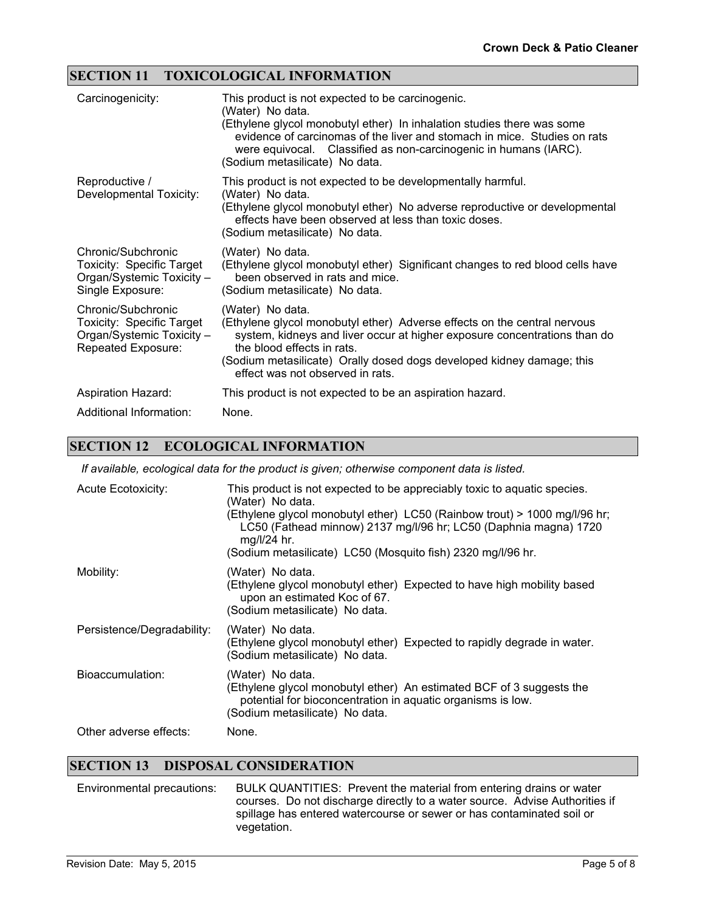#### **SECTION 11 TOXICOLOGICAL INFORMATION**

| Carcinogenicity:                                                                                          | This product is not expected to be carcinogenic.<br>(Water) No data.<br>(Ethylene glycol monobutyl ether) In inhalation studies there was some<br>evidence of carcinomas of the liver and stomach in mice. Studies on rats<br>were equivocal. Classified as non-carcinogenic in humans (IARC).<br>(Sodium metasilicate) No data. |
|-----------------------------------------------------------------------------------------------------------|----------------------------------------------------------------------------------------------------------------------------------------------------------------------------------------------------------------------------------------------------------------------------------------------------------------------------------|
| Reproductive /<br>Developmental Toxicity:                                                                 | This product is not expected to be developmentally harmful.<br>(Water) No data.<br>(Ethylene glycol monobutyl ether) No adverse reproductive or developmental<br>effects have been observed at less than toxic doses.<br>(Sodium metasilicate) No data.                                                                          |
| Chronic/Subchronic<br><b>Toxicity: Specific Target</b><br>Organ/Systemic Toxicity -<br>Single Exposure:   | (Water) No data.<br>(Ethylene glycol monobutyl ether) Significant changes to red blood cells have<br>been observed in rats and mice.<br>(Sodium metasilicate) No data.                                                                                                                                                           |
| Chronic/Subchronic<br><b>Toxicity: Specific Target</b><br>Organ/Systemic Toxicity -<br>Repeated Exposure: | (Water) No data.<br>(Ethylene glycol monobutyl ether) Adverse effects on the central nervous<br>system, kidneys and liver occur at higher exposure concentrations than do<br>the blood effects in rats.<br>(Sodium metasilicate) Orally dosed dogs developed kidney damage; this<br>effect was not observed in rats.             |
| <b>Aspiration Hazard:</b>                                                                                 | This product is not expected to be an aspiration hazard.                                                                                                                                                                                                                                                                         |
| Additional Information:                                                                                   | None.                                                                                                                                                                                                                                                                                                                            |

#### **SECTION 12 ECOLOGICAL INFORMATION**

*If available, ecological data for the product is given; otherwise component data is listed.*

| <b>Acute Ecotoxicity:</b>  | This product is not expected to be appreciably toxic to aquatic species.<br>(Water) No data.<br>(Ethylene glycol monobutyl ether) LC50 (Rainbow trout) > 1000 mg/l/96 hr;<br>LC50 (Fathead minnow) 2137 mg/l/96 hr; LC50 (Daphnia magna) 1720<br>mg/l/24 hr.<br>(Sodium metasilicate) LC50 (Mosquito fish) 2320 mg/l/96 hr. |
|----------------------------|-----------------------------------------------------------------------------------------------------------------------------------------------------------------------------------------------------------------------------------------------------------------------------------------------------------------------------|
| Mobility:                  | (Water) No data.<br>(Ethylene glycol monobutyl ether) Expected to have high mobility based<br>upon an estimated Koc of 67.<br>(Sodium metasilicate) No data.                                                                                                                                                                |
| Persistence/Degradability: | (Water) No data.<br>(Ethylene glycol monobutyl ether) Expected to rapidly degrade in water.<br>(Sodium metasilicate) No data.                                                                                                                                                                                               |
| Bioaccumulation:           | (Water) No data.<br>(Ethylene glycol monobutyl ether) An estimated BCF of 3 suggests the<br>potential for bioconcentration in aquatic organisms is low.<br>(Sodium metasilicate) No data.                                                                                                                                   |
| Other adverse effects:     | None.                                                                                                                                                                                                                                                                                                                       |

#### **SECTION 13 DISPOSAL CONSIDERATION**

Environmental precautions: BULK QUANTITIES: Prevent the material from entering drains or water courses. Do not discharge directly to a water source. Advise Authorities if spillage has entered watercourse or sewer or has contaminated soil or vegetation.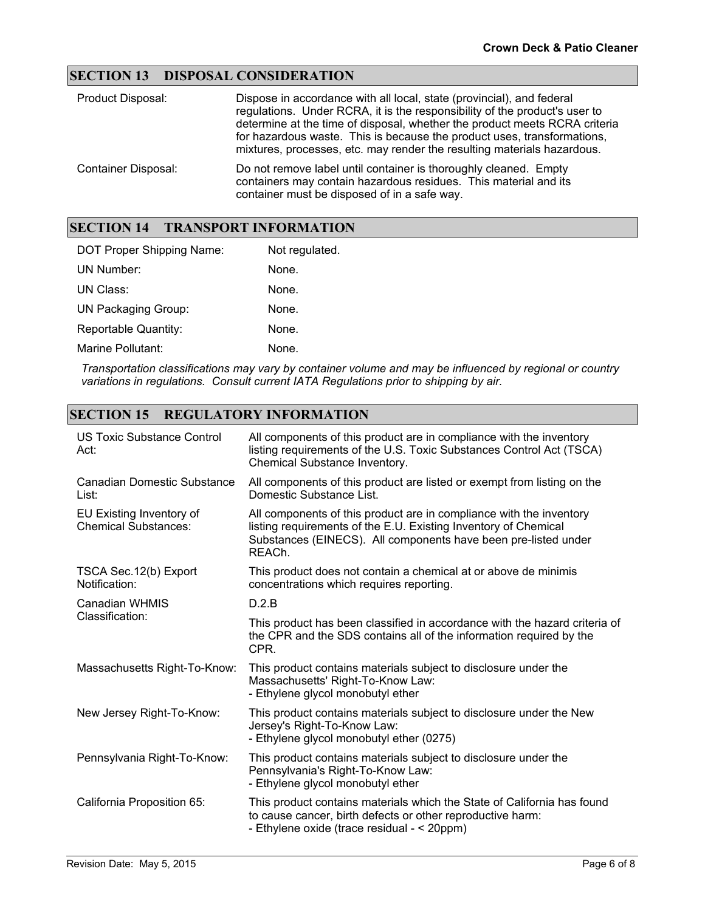#### **SECTION 13 DISPOSAL CONSIDERATION**

| Product Disposal:          | Dispose in accordance with all local, state (provincial), and federal<br>regulations. Under RCRA, it is the responsibility of the product's user to<br>determine at the time of disposal, whether the product meets RCRA criteria<br>for hazardous waste. This is because the product uses, transformations,<br>mixtures, processes, etc. may render the resulting materials hazardous. |
|----------------------------|-----------------------------------------------------------------------------------------------------------------------------------------------------------------------------------------------------------------------------------------------------------------------------------------------------------------------------------------------------------------------------------------|
| <b>Container Disposal:</b> | Do not remove label until container is thoroughly cleaned. Empty<br>containers may contain hazardous residues. This material and its<br>container must be disposed of in a safe way.                                                                                                                                                                                                    |

#### **SECTION 14 TRANSPORT INFORMATION**

| DOT Proper Shipping Name:   | Not regulated. |
|-----------------------------|----------------|
| UN Number:                  | None.          |
| UN Class:                   | None.          |
| <b>UN Packaging Group:</b>  | None.          |
| <b>Reportable Quantity:</b> | None.          |
| Marine Pollutant:           | None.          |

*Transportation classifications may vary by container volume and may be influenced by regional or country variations in regulations. Consult current IATA Regulations prior to shipping by air.*

#### **SECTION 15 REGULATORY INFORMATION**

| <b>US Toxic Substance Control</b><br>Act:               | All components of this product are in compliance with the inventory<br>listing requirements of the U.S. Toxic Substances Control Act (TSCA)<br>Chemical Substance Inventory.                                       |
|---------------------------------------------------------|--------------------------------------------------------------------------------------------------------------------------------------------------------------------------------------------------------------------|
| <b>Canadian Domestic Substance</b><br>List:             | All components of this product are listed or exempt from listing on the<br>Domestic Substance List.                                                                                                                |
| EU Existing Inventory of<br><b>Chemical Substances:</b> | All components of this product are in compliance with the inventory<br>listing requirements of the E.U. Existing Inventory of Chemical<br>Substances (EINECS). All components have been pre-listed under<br>REACh. |
| TSCA Sec. 12(b) Export<br>Notification:                 | This product does not contain a chemical at or above de minimis<br>concentrations which requires reporting.                                                                                                        |
| Canadian WHMIS                                          | D.2.B                                                                                                                                                                                                              |
| Classification:                                         | This product has been classified in accordance with the hazard criteria of<br>the CPR and the SDS contains all of the information required by the<br>CPR.                                                          |
| Massachusetts Right-To-Know:                            | This product contains materials subject to disclosure under the<br>Massachusetts' Right-To-Know Law:<br>- Ethylene glycol monobutyl ether                                                                          |
| New Jersey Right-To-Know:                               | This product contains materials subject to disclosure under the New<br>Jersey's Right-To-Know Law:<br>- Ethylene glycol monobutyl ether (0275)                                                                     |
| Pennsylvania Right-To-Know:                             | This product contains materials subject to disclosure under the<br>Pennsylvania's Right-To-Know Law:<br>- Ethylene glycol monobutyl ether                                                                          |
| California Proposition 65:                              | This product contains materials which the State of California has found<br>to cause cancer, birth defects or other reproductive harm:<br>- Ethylene oxide (trace residual - < 20ppm)                               |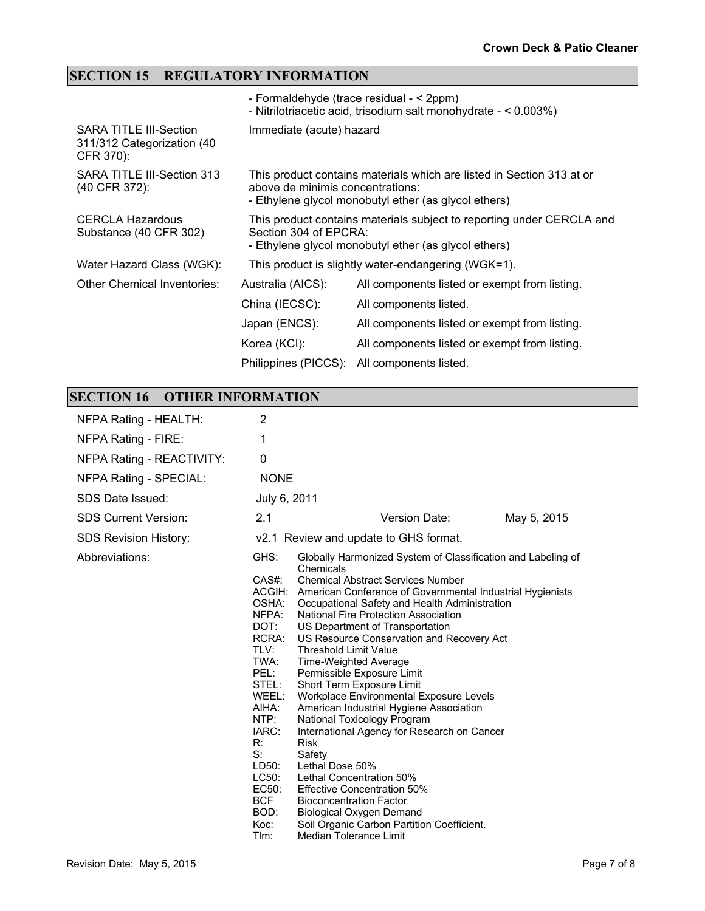### **SECTION 15 REGULATORY INFORMATION**

|                                                                          |                                  | - Formaldehyde (trace residual - < 2ppm)<br>- Nitrilotriacetic acid, trisodium salt monohydrate - < 0.003%)                   |
|--------------------------------------------------------------------------|----------------------------------|-------------------------------------------------------------------------------------------------------------------------------|
| <b>SARA TITLE III-Section</b><br>311/312 Categorization (40<br>CFR 370): | Immediate (acute) hazard         |                                                                                                                               |
| SARA TITLE III-Section 313<br>(40 CFR 372):                              | above de minimis concentrations: | This product contains materials which are listed in Section 313 at or<br>- Ethylene glycol monobutyl ether (as glycol ethers) |
| <b>CERCLA Hazardous</b><br>Substance (40 CFR 302)                        | Section 304 of EPCRA:            | This product contains materials subject to reporting under CERCLA and<br>- Ethylene glycol monobutyl ether (as glycol ethers) |
| Water Hazard Class (WGK):                                                |                                  | This product is slightly water-endangering (WGK=1).                                                                           |
| Other Chemical Inventories:                                              | Australia (AICS):                | All components listed or exempt from listing.                                                                                 |
|                                                                          | China (IECSC):                   | All components listed.                                                                                                        |
|                                                                          | Japan (ENCS):                    | All components listed or exempt from listing.                                                                                 |
|                                                                          | Korea (KCI):                     | All components listed or exempt from listing.                                                                                 |
|                                                                          | Philippines (PICCS):             | All components listed.                                                                                                        |

## **SECTION 16 OTHER INFORMATION**

| NFPA Rating - HEALTH:        | 2                                                                                                                                                                                                                 |                                                                                                                                                                                                                                                                                                                                                                                                                                                                                                                                                                                                                                                                                                                                                                                                                                                                                                                       |             |
|------------------------------|-------------------------------------------------------------------------------------------------------------------------------------------------------------------------------------------------------------------|-----------------------------------------------------------------------------------------------------------------------------------------------------------------------------------------------------------------------------------------------------------------------------------------------------------------------------------------------------------------------------------------------------------------------------------------------------------------------------------------------------------------------------------------------------------------------------------------------------------------------------------------------------------------------------------------------------------------------------------------------------------------------------------------------------------------------------------------------------------------------------------------------------------------------|-------------|
| NFPA Rating - FIRE:          | 1                                                                                                                                                                                                                 |                                                                                                                                                                                                                                                                                                                                                                                                                                                                                                                                                                                                                                                                                                                                                                                                                                                                                                                       |             |
| NFPA Rating - REACTIVITY:    | 0                                                                                                                                                                                                                 |                                                                                                                                                                                                                                                                                                                                                                                                                                                                                                                                                                                                                                                                                                                                                                                                                                                                                                                       |             |
| NFPA Rating - SPECIAL:       | <b>NONE</b>                                                                                                                                                                                                       |                                                                                                                                                                                                                                                                                                                                                                                                                                                                                                                                                                                                                                                                                                                                                                                                                                                                                                                       |             |
| SDS Date Issued:             | July 6, 2011                                                                                                                                                                                                      |                                                                                                                                                                                                                                                                                                                                                                                                                                                                                                                                                                                                                                                                                                                                                                                                                                                                                                                       |             |
| <b>SDS Current Version:</b>  | 2.1                                                                                                                                                                                                               | Version Date:                                                                                                                                                                                                                                                                                                                                                                                                                                                                                                                                                                                                                                                                                                                                                                                                                                                                                                         | May 5, 2015 |
| <b>SDS Revision History:</b> |                                                                                                                                                                                                                   | v2.1 Review and update to GHS format.                                                                                                                                                                                                                                                                                                                                                                                                                                                                                                                                                                                                                                                                                                                                                                                                                                                                                 |             |
| Abbreviations:               | GHS:<br>$CAS#$ :<br>OSHA:<br>NFPA:<br>DOT:<br>RCRA:<br>TLV:<br>TWA:<br>PEL:<br>STEL:<br>WEEL:<br>AIHA:<br>NTP:<br>IARC:<br>$R^{\ldots}$<br>$S$ :<br>LD50:<br>LC50:<br>EC50:<br><b>BCF</b><br>BOD:<br>Koc:<br>Tlm: | Globally Harmonized System of Classification and Labeling of<br>Chemicals<br><b>Chemical Abstract Services Number</b><br>ACGIH: American Conference of Governmental Industrial Hygienists<br>Occupational Safety and Health Administration<br>National Fire Protection Association<br>US Department of Transportation<br>US Resource Conservation and Recovery Act<br><b>Threshold Limit Value</b><br>Time-Weighted Average<br>Permissible Exposure Limit<br>Short Term Exposure Limit<br>Workplace Environmental Exposure Levels<br>American Industrial Hygiene Association<br>National Toxicology Program<br>International Agency for Research on Cancer<br><b>Risk</b><br>Safety<br>Lethal Dose 50%<br>Lethal Concentration 50%<br><b>Effective Concentration 50%</b><br><b>Bioconcentration Factor</b><br><b>Biological Oxygen Demand</b><br>Soil Organic Carbon Partition Coefficient.<br>Median Tolerance Limit |             |